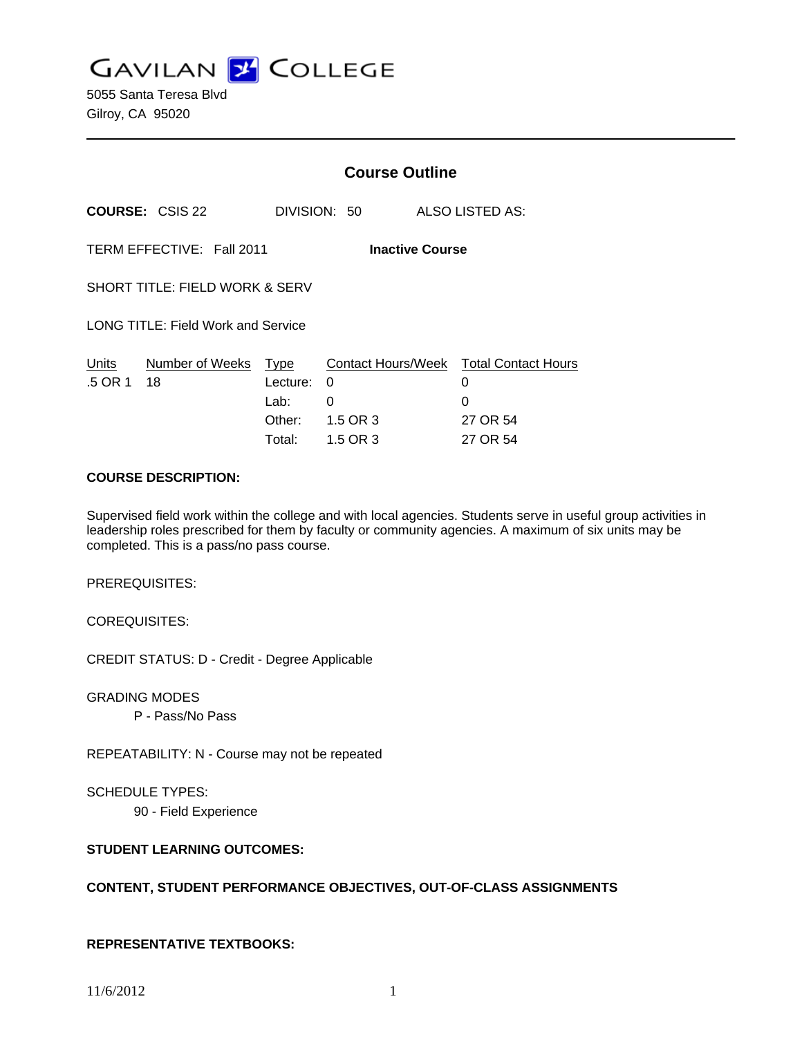**GAVILAN J' COLLEGE** 

5055 Santa Teresa Blvd Gilroy, CA 95020

|                                                     |                                           | <b>Course Outline</b>                        |                                       |                                                                          |
|-----------------------------------------------------|-------------------------------------------|----------------------------------------------|---------------------------------------|--------------------------------------------------------------------------|
|                                                     | <b>COURSE: CSIS 22</b>                    |                                              | DIVISION: 50                          | ALSO LISTED AS:                                                          |
| TERM EFFECTIVE: Fall 2011<br><b>Inactive Course</b> |                                           |                                              |                                       |                                                                          |
|                                                     | <b>SHORT TITLE: FIELD WORK &amp; SERV</b> |                                              |                                       |                                                                          |
|                                                     | LONG TITLE: Field Work and Service        |                                              |                                       |                                                                          |
| Units<br>.5 OR 1                                    | Number of Weeks<br>18                     | Type<br>Lecture:<br>Lab:<br>Other:<br>Total: | 0<br>$\Omega$<br>1.5 OR 3<br>1.5 OR 3 | Contact Hours/Week Total Contact Hours<br>0<br>0<br>27 OR 54<br>27 OR 54 |

### **COURSE DESCRIPTION:**

Supervised field work within the college and with local agencies. Students serve in useful group activities in leadership roles prescribed for them by faculty or community agencies. A maximum of six units may be completed. This is a pass/no pass course.

PREREQUISITES:

COREQUISITES:

CREDIT STATUS: D - Credit - Degree Applicable

GRADING MODES

P - Pass/No Pass

REPEATABILITY: N - Course may not be repeated

SCHEDULE TYPES:

90 - Field Experience

# **STUDENT LEARNING OUTCOMES:**

### **CONTENT, STUDENT PERFORMANCE OBJECTIVES, OUT-OF-CLASS ASSIGNMENTS**

## **REPRESENTATIVE TEXTBOOKS:**

11/6/2012 1